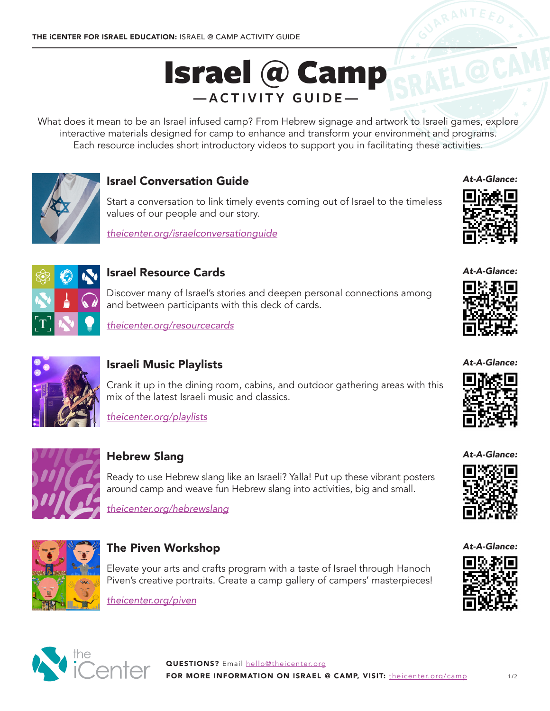# Israel @ Camp **—ACTIVITY GUIDE—**

What does it mean to be an Israel infused camp? From Hebrew signage and artwork to Israeli games, explore interactive materials designed for camp to enhance and transform your environment and programs. Each resource includes short introductory videos to support you in facilitating these activities.



## Israel Conversation Guide

Start a conversation to link timely events coming out of Israel to the timeless values of our people and our story.

*[theicenter.org/israelconversationguide](http://theicenter.org/israelconversationguide)*



# Israel Resource Cards

Discover many of Israel's stories and deepen personal connections among and between participants with this deck of cards.

*[theicenter.org/resourcecards](http://theicenter.org/resourcecards)*



# Israeli Music Playlists

Crank it up in the dining room, cabins, and outdoor gathering areas with this mix of the latest Israeli music and classics.

*[theicenter.org/playlists](http://theicenter.org/playlists)*



# Hebrew Slang

Ready to use Hebrew slang like an Israeli? Yalla! Put up these vibrant posters around camp and weave fun Hebrew slang into activities, big and small.

*[theicenter.org/hebrewslang](http://theicenter.org/hebrewslang)*



## The Piven Workshop

Elevate your arts and crafts program with a taste of Israel through Hanoch Piven's creative portraits. Create a camp gallery of campers' masterpieces!

*[theicenter.org/piven](http://theicenter.org/piven)*





*At-A-Glance:*



*At-A-Glance:*



*At-A-Glance:*



*At-A-Glance:*